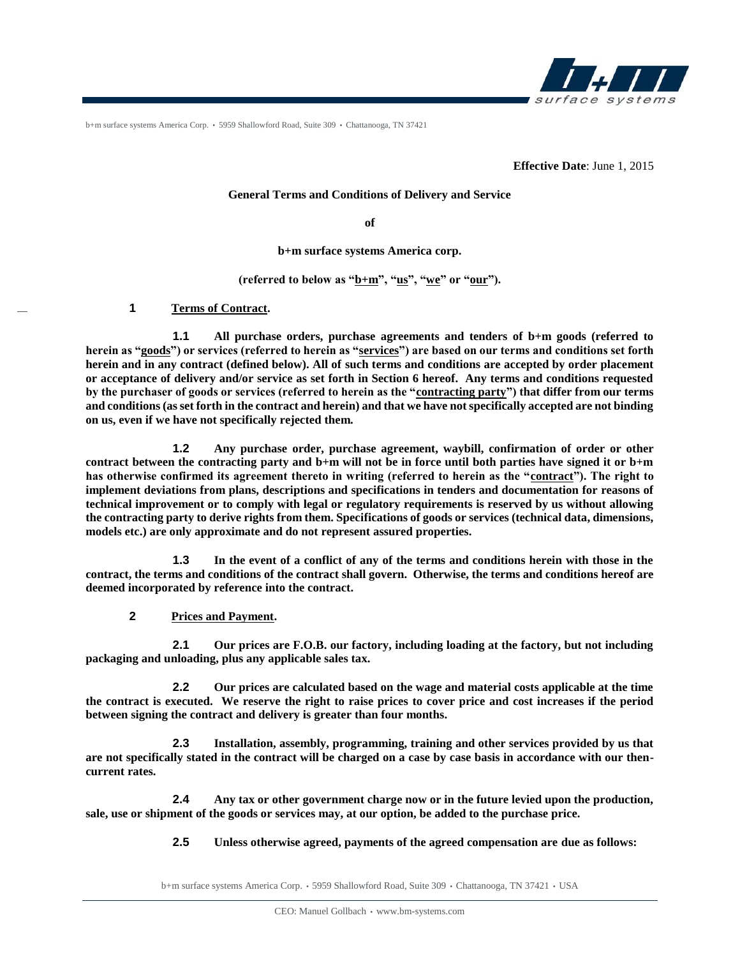

b+m surface systems America Corp. • 5959 Shallowford Road, Suite 309 • Chattanooga, TN 37421

**Effective Date**: June 1, 2015

#### **General Terms and Conditions of Delivery and Service**

**of**

**b+m surface systems America corp.**

**(referred to below as "b+m", "us", "we" or "our").**

**1 Terms of Contract.** 

**1.1 All purchase orders, purchase agreements and tenders of b+m goods (referred to herein as "goods") or services (referred to herein as "services") are based on our terms and conditions set forth herein and in any contract (defined below). All of such terms and conditions are accepted by order placement or acceptance of delivery and/or service as set forth in Section 6 hereof. Any terms and conditions requested by the purchaser of goods or services (referred to herein as the "contracting party") that differ from our terms and conditions (as set forth in the contract and herein) and that we have not specifically accepted are not binding on us, even if we have not specifically rejected them.**

**1.2 Any purchase order, purchase agreement, waybill, confirmation of order or other contract between the contracting party and b+m will not be in force until both parties have signed it or b+m has otherwise confirmed its agreement thereto in writing (referred to herein as the "contract"). The right to implement deviations from plans, descriptions and specifications in tenders and documentation for reasons of technical improvement or to comply with legal or regulatory requirements is reserved by us without allowing the contracting party to derive rights from them. Specifications of goods or services (technical data, dimensions, models etc.) are only approximate and do not represent assured properties.**

**1.3 In the event of a conflict of any of the terms and conditions herein with those in the contract, the terms and conditions of the contract shall govern. Otherwise, the terms and conditions hereof are deemed incorporated by reference into the contract.**

**2 Prices and Payment.**

**2.1 Our prices are F.O.B. our factory, including loading at the factory, but not including packaging and unloading, plus any applicable sales tax.**

**2.2 Our prices are calculated based on the wage and material costs applicable at the time the contract is executed. We reserve the right to raise prices to cover price and cost increases if the period between signing the contract and delivery is greater than four months.**

**2.3 Installation, assembly, programming, training and other services provided by us that are not specifically stated in the contract will be charged on a case by case basis in accordance with our thencurrent rates.**

**2.4 Any tax or other government charge now or in the future levied upon the production, sale, use or shipment of the goods or services may, at our option, be added to the purchase price.**

**2.5 Unless otherwise agreed, payments of the agreed compensation are due as follows:**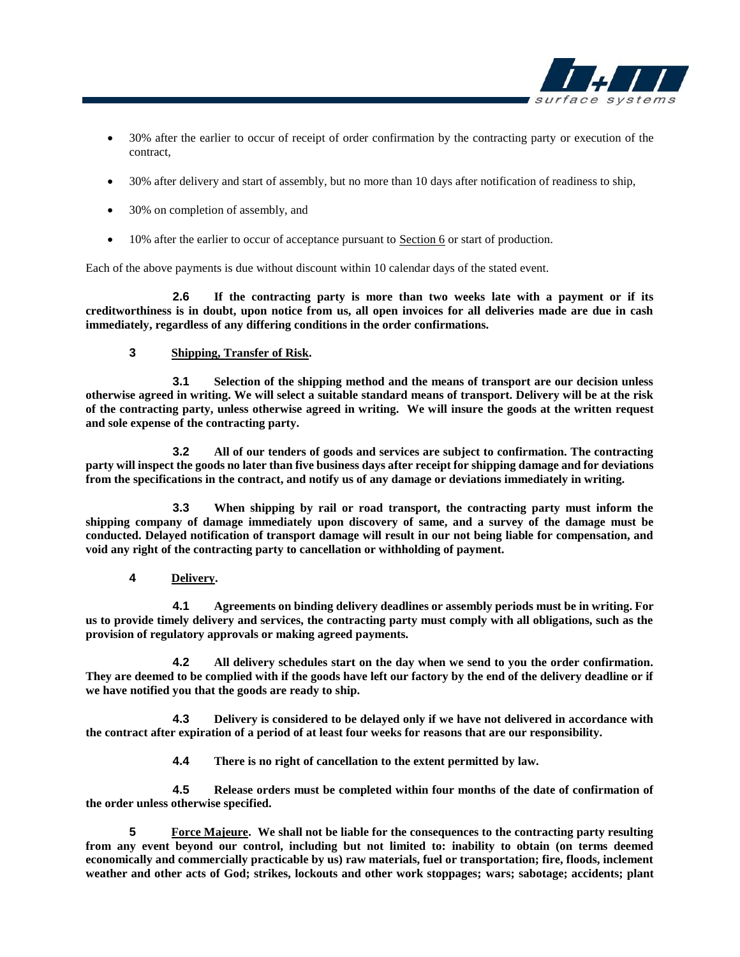

- 30% after the earlier to occur of receipt of order confirmation by the contracting party or execution of the contract,
- 30% after delivery and start of assembly, but no more than 10 days after notification of readiness to ship,
- 30% on completion of assembly, and
- 10% after the earlier to occur of acceptance pursuant to Section 6 or start of production.

Each of the above payments is due without discount within 10 calendar days of the stated event.

**2.6 If the contracting party is more than two weeks late with a payment or if its creditworthiness is in doubt, upon notice from us, all open invoices for all deliveries made are due in cash immediately, regardless of any differing conditions in the order confirmations.**

# **3 Shipping, Transfer of Risk.**

**3.1 Selection of the shipping method and the means of transport are our decision unless otherwise agreed in writing. We will select a suitable standard means of transport. Delivery will be at the risk of the contracting party, unless otherwise agreed in writing. We will insure the goods at the written request and sole expense of the contracting party.**

**3.2 All of our tenders of goods and services are subject to confirmation. The contracting party will inspect the goods no later than five business days after receipt for shipping damage and for deviations from the specifications in the contract, and notify us of any damage or deviations immediately in writing.**

**3.3 When shipping by rail or road transport, the contracting party must inform the shipping company of damage immediately upon discovery of same, and a survey of the damage must be conducted. Delayed notification of transport damage will result in our not being liable for compensation, and void any right of the contracting party to cancellation or withholding of payment.**

**4 Delivery.**

**4.1 Agreements on binding delivery deadlines or assembly periods must be in writing. For us to provide timely delivery and services, the contracting party must comply with all obligations, such as the provision of regulatory approvals or making agreed payments.**

**4.2 All delivery schedules start on the day when we send to you the order confirmation. They are deemed to be complied with if the goods have left our factory by the end of the delivery deadline or if we have notified you that the goods are ready to ship.**

**4.3 Delivery is considered to be delayed only if we have not delivered in accordance with the contract after expiration of a period of at least four weeks for reasons that are our responsibility.** 

**4.4 There is no right of cancellation to the extent permitted by law.**

**4.5 Release orders must be completed within four months of the date of confirmation of the order unless otherwise specified.**

**5 Force Majeure. We shall not be liable for the consequences to the contracting party resulting from any event beyond our control, including but not limited to: inability to obtain (on terms deemed economically and commercially practicable by us) raw materials, fuel or transportation; fire, floods, inclement weather and other acts of God; strikes, lockouts and other work stoppages; wars; sabotage; accidents; plant**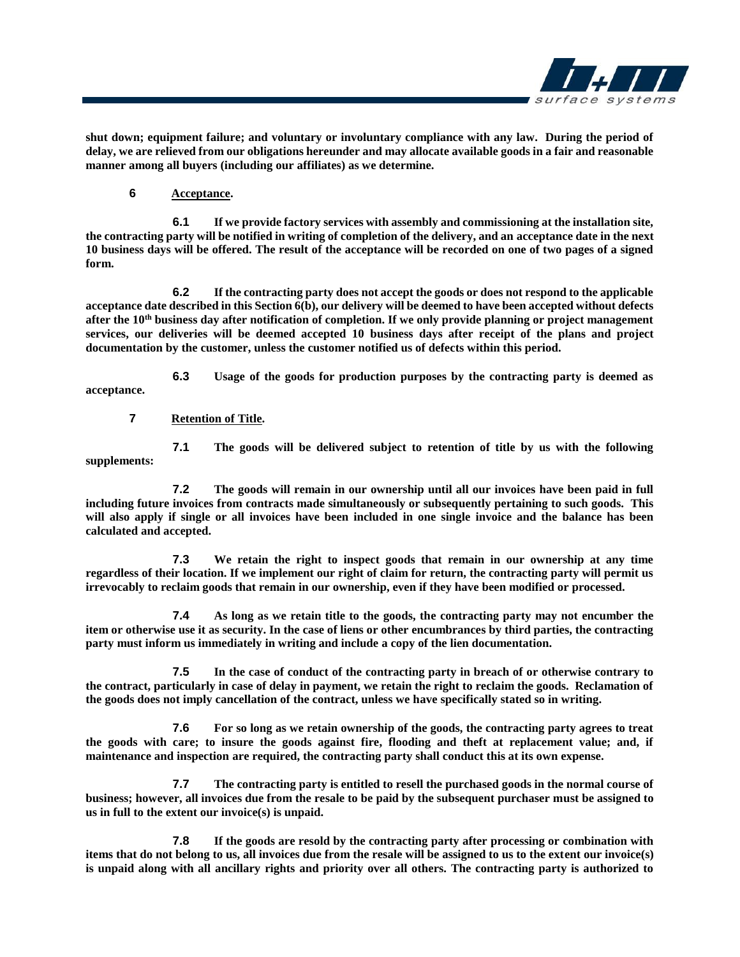

**shut down; equipment failure; and voluntary or involuntary compliance with any law. During the period of delay, we are relieved from our obligations hereunder and may allocate available goods in a fair and reasonable manner among all buyers (including our affiliates) as we determine.**

**6 Acceptance.**

**6.1 If we provide factory services with assembly and commissioning at the installation site, the contracting party will be notified in writing of completion of the delivery, and an acceptance date in the next 10 business days will be offered. The result of the acceptance will be recorded on one of two pages of a signed form.**

**6.2 If the contracting party does not accept the goods or does not respond to the applicable acceptance date described in this Section 6(b), our delivery will be deemed to have been accepted without defects after the 10th business day after notification of completion. If we only provide planning or project management services, our deliveries will be deemed accepted 10 business days after receipt of the plans and project documentation by the customer, unless the customer notified us of defects within this period.**

**6.3 Usage of the goods for production purposes by the contracting party is deemed as acceptance.**

**7 Retention of Title.**

**7.1 The goods will be delivered subject to retention of title by us with the following supplements:**

**7.2 The goods will remain in our ownership until all our invoices have been paid in full including future invoices from contracts made simultaneously or subsequently pertaining to such goods. This will also apply if single or all invoices have been included in one single invoice and the balance has been calculated and accepted.**

**7.3 We retain the right to inspect goods that remain in our ownership at any time regardless of their location. If we implement our right of claim for return, the contracting party will permit us irrevocably to reclaim goods that remain in our ownership, even if they have been modified or processed.**

**7.4 As long as we retain title to the goods, the contracting party may not encumber the item or otherwise use it as security. In the case of liens or other encumbrances by third parties, the contracting party must inform us immediately in writing and include a copy of the lien documentation.**

**7.5 In the case of conduct of the contracting party in breach of or otherwise contrary to the contract, particularly in case of delay in payment, we retain the right to reclaim the goods. Reclamation of the goods does not imply cancellation of the contract, unless we have specifically stated so in writing.**

**7.6 For so long as we retain ownership of the goods, the contracting party agrees to treat the goods with care; to insure the goods against fire, flooding and theft at replacement value; and, if maintenance and inspection are required, the contracting party shall conduct this at its own expense.**

**7.7 The contracting party is entitled to resell the purchased goods in the normal course of business; however, all invoices due from the resale to be paid by the subsequent purchaser must be assigned to us in full to the extent our invoice(s) is unpaid.** 

**7.8 If the goods are resold by the contracting party after processing or combination with items that do not belong to us, all invoices due from the resale will be assigned to us to the extent our invoice(s) is unpaid along with all ancillary rights and priority over all others. The contracting party is authorized to**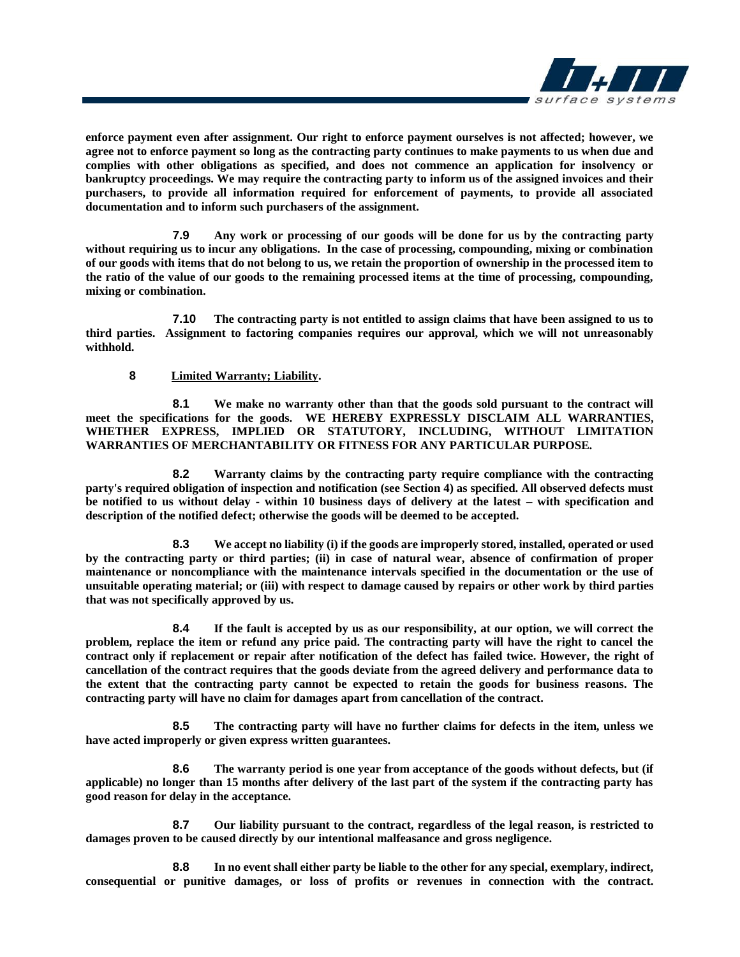

**enforce payment even after assignment. Our right to enforce payment ourselves is not affected; however, we agree not to enforce payment so long as the contracting party continues to make payments to us when due and complies with other obligations as specified, and does not commence an application for insolvency or bankruptcy proceedings. We may require the contracting party to inform us of the assigned invoices and their purchasers, to provide all information required for enforcement of payments, to provide all associated documentation and to inform such purchasers of the assignment.**

**7.9 Any work or processing of our goods will be done for us by the contracting party without requiring us to incur any obligations. In the case of processing, compounding, mixing or combination of our goods with items that do not belong to us, we retain the proportion of ownership in the processed item to the ratio of the value of our goods to the remaining processed items at the time of processing, compounding, mixing or combination.**

**7.10 The contracting party is not entitled to assign claims that have been assigned to us to third parties. Assignment to factoring companies requires our approval, which we will not unreasonably withhold.**

### **8 Limited Warranty; Liability.**

**8.1 We make no warranty other than that the goods sold pursuant to the contract will meet the specifications for the goods. WE HEREBY EXPRESSLY DISCLAIM ALL WARRANTIES, WHETHER EXPRESS, IMPLIED OR STATUTORY, INCLUDING, WITHOUT LIMITATION WARRANTIES OF MERCHANTABILITY OR FITNESS FOR ANY PARTICULAR PURPOSE.** 

**8.2 Warranty claims by the contracting party require compliance with the contracting party's required obligation of inspection and notification (see Section 4) as specified. All observed defects must be notified to us without delay - within 10 business days of delivery at the latest – with specification and description of the notified defect; otherwise the goods will be deemed to be accepted.**

**8.3 We accept no liability (i) if the goods are improperly stored, installed, operated or used by the contracting party or third parties; (ii) in case of natural wear, absence of confirmation of proper maintenance or noncompliance with the maintenance intervals specified in the documentation or the use of unsuitable operating material; or (iii) with respect to damage caused by repairs or other work by third parties that was not specifically approved by us.**

**8.4 If the fault is accepted by us as our responsibility, at our option, we will correct the problem, replace the item or refund any price paid. The contracting party will have the right to cancel the contract only if replacement or repair after notification of the defect has failed twice. However, the right of cancellation of the contract requires that the goods deviate from the agreed delivery and performance data to the extent that the contracting party cannot be expected to retain the goods for business reasons. The contracting party will have no claim for damages apart from cancellation of the contract.**

**8.5 The contracting party will have no further claims for defects in the item, unless we have acted improperly or given express written guarantees.**

**8.6 The warranty period is one year from acceptance of the goods without defects, but (if applicable) no longer than 15 months after delivery of the last part of the system if the contracting party has good reason for delay in the acceptance.**

**8.7 Our liability pursuant to the contract, regardless of the legal reason, is restricted to damages proven to be caused directly by our intentional malfeasance and gross negligence.** 

**8.8 In no event shall either party be liable to the other for any special, exemplary, indirect, consequential or punitive damages, or loss of profits or revenues in connection with the contract.**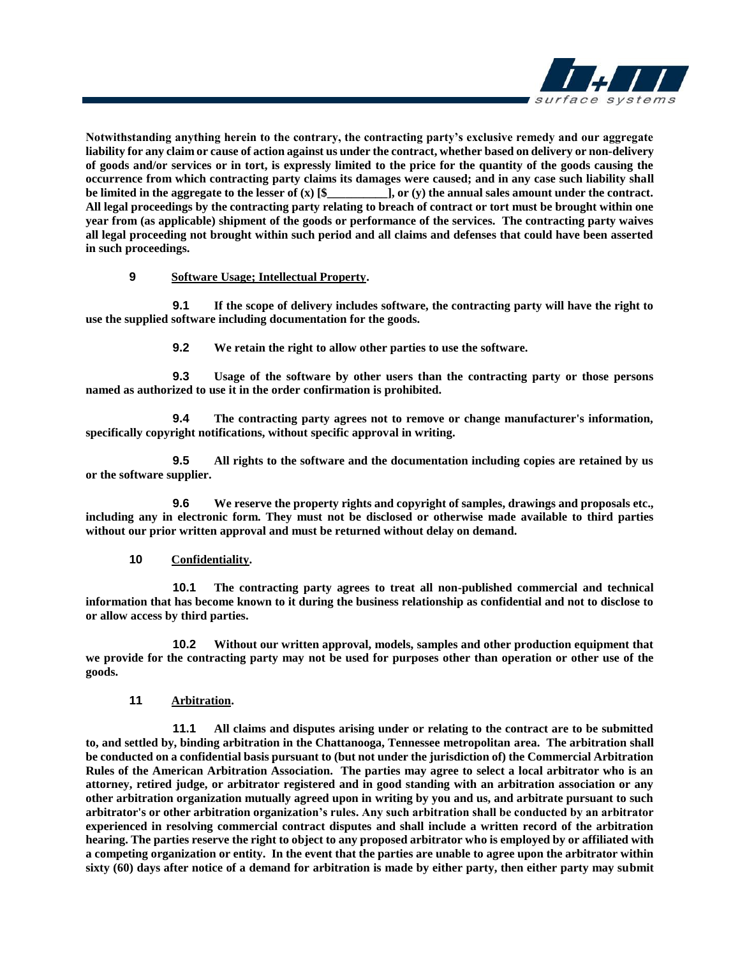

**Notwithstanding anything herein to the contrary, the contracting party's exclusive remedy and our aggregate liability for any claim or cause of action against us under the contract, whether based on delivery or non-delivery of goods and/or services or in tort, is expressly limited to the price for the quantity of the goods causing the occurrence from which contracting party claims its damages were caused; and in any case such liability shall be limited in the aggregate to the lesser of**  $(x)$  **[\$, case of**  $(y)$  **the annual sales amount under the contract.**  $\mathbf{I}, \mathbf{or} (\mathbf{y})$  the annual sales amount under the contract. **All legal proceedings by the contracting party relating to breach of contract or tort must be brought within one year from (as applicable) shipment of the goods or performance of the services. The contracting party waives all legal proceeding not brought within such period and all claims and defenses that could have been asserted in such proceedings.**

# **9 Software Usage; Intellectual Property.**

**9.1 If the scope of delivery includes software, the contracting party will have the right to use the supplied software including documentation for the goods.**

**9.2 We retain the right to allow other parties to use the software.**

**9.3 Usage of the software by other users than the contracting party or those persons named as authorized to use it in the order confirmation is prohibited.**

**9.4 The contracting party agrees not to remove or change manufacturer's information, specifically copyright notifications, without specific approval in writing.**

**9.5 All rights to the software and the documentation including copies are retained by us or the software supplier.**

**9.6 We reserve the property rights and copyright of samples, drawings and proposals etc., including any in electronic form. They must not be disclosed or otherwise made available to third parties without our prior written approval and must be returned without delay on demand.**

#### **10 Confidentiality.**

**10.1 The contracting party agrees to treat all non-published commercial and technical information that has become known to it during the business relationship as confidential and not to disclose to or allow access by third parties.**

**10.2 Without our written approval, models, samples and other production equipment that we provide for the contracting party may not be used for purposes other than operation or other use of the goods.**

# **11 Arbitration.**

**11.1 All claims and disputes arising under or relating to the contract are to be submitted to, and settled by, binding arbitration in the Chattanooga, Tennessee metropolitan area. The arbitration shall be conducted on a confidential basis pursuant to (but not under the jurisdiction of) the Commercial Arbitration Rules of the American Arbitration Association. The parties may agree to select a local arbitrator who is an attorney, retired judge, or arbitrator registered and in good standing with an arbitration association or any other arbitration organization mutually agreed upon in writing by you and us, and arbitrate pursuant to such arbitrator's or other arbitration organization's rules. Any such arbitration shall be conducted by an arbitrator experienced in resolving commercial contract disputes and shall include a written record of the arbitration hearing. The parties reserve the right to object to any proposed arbitrator who is employed by or affiliated with a competing organization or entity. In the event that the parties are unable to agree upon the arbitrator within sixty (60) days after notice of a demand for arbitration is made by either party, then either party may submit**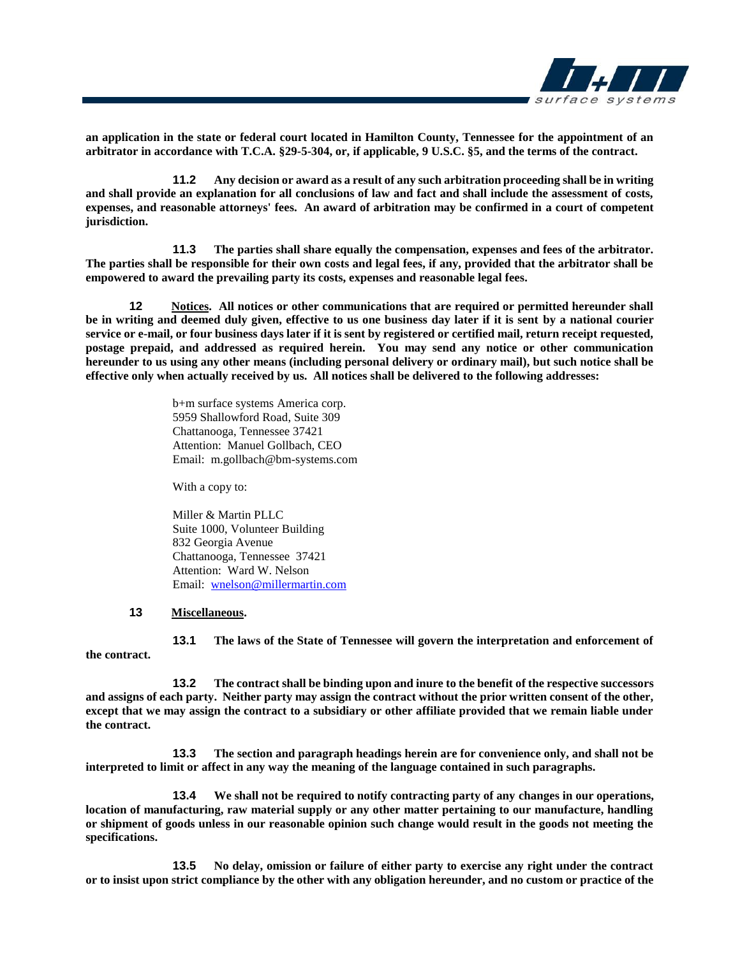

**an application in the state or federal court located in Hamilton County, Tennessee for the appointment of an arbitrator in accordance with T.C.A. §29-5-304, or, if applicable, 9 U.S.C. §5, and the terms of the contract.**

**11.2 Any decision or award as a result of any such arbitration proceeding shall be in writing and shall provide an explanation for all conclusions of law and fact and shall include the assessment of costs, expenses, and reasonable attorneys' fees. An award of arbitration may be confirmed in a court of competent jurisdiction.** 

**11.3 The parties shall share equally the compensation, expenses and fees of the arbitrator. The parties shall be responsible for their own costs and legal fees, if any, provided that the arbitrator shall be empowered to award the prevailing party its costs, expenses and reasonable legal fees.** 

**12 Notices. All notices or other communications that are required or permitted hereunder shall be in writing and deemed duly given, effective to us one business day later if it is sent by a national courier service or e-mail, or four business days later if it is sent by registered or certified mail, return receipt requested, postage prepaid, and addressed as required herein. You may send any notice or other communication hereunder to us using any other means (including personal delivery or ordinary mail), but such notice shall be effective only when actually received by us. All notices shall be delivered to the following addresses:**

> b+m surface systems America corp. 5959 Shallowford Road, Suite 309 Chattanooga, Tennessee 37421 Attention: Manuel Gollbach, CEO Email: m.gollbach@bm-systems.com

With a copy to:

Miller & Martin PLLC Suite 1000, Volunteer Building 832 Georgia Avenue Chattanooga, Tennessee 37421 Attention: Ward W. Nelson Email: [wnelson@millermartin.com](mailto:wnelson@millermartin.com)

#### **13 Miscellaneous.**

**13.1 The laws of the State of Tennessee will govern the interpretation and enforcement of the contract.**

**13.2 The contract shall be binding upon and inure to the benefit of the respective successors and assigns of each party. Neither party may assign the contract without the prior written consent of the other, except that we may assign the contract to a subsidiary or other affiliate provided that we remain liable under the contract.**

**13.3 The section and paragraph headings herein are for convenience only, and shall not be interpreted to limit or affect in any way the meaning of the language contained in such paragraphs.**

**13.4 We shall not be required to notify contracting party of any changes in our operations, location of manufacturing, raw material supply or any other matter pertaining to our manufacture, handling or shipment of goods unless in our reasonable opinion such change would result in the goods not meeting the specifications.**

**13.5 No delay, omission or failure of either party to exercise any right under the contract or to insist upon strict compliance by the other with any obligation hereunder, and no custom or practice of the**